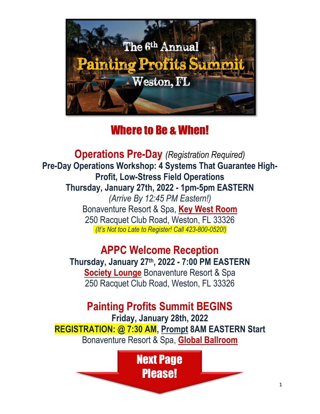

### Where to Be & When!

**Operations Pre-Day** *(Registration Required)* **Pre-Day Operations Workshop: 4 Systems That Guarantee High-Profit, Low-Stress Field Operations Thursday, January 27th, 2022 - 1pm-5pm EASTERN** *(Arrive By 12:45 PM Eastern!)* Bonaventure Resort & Spa, **Key West Room** 250 Racquet Club Road, Weston, FL 33326 *(It's Not too Late to Register! Call 423-800-0520!)*

> **APPC Welcome Reception Thursday, January 27 th , 2022 - 7:00 PM EASTERN Society Lounge** Bonaventure Resort & Spa 250 Racquet Club Road, Weston, FL 33326

**Painting Profits Summit BEGINS Friday, January 28th, 2022 REGISTRATION: @ 7:30 AM, Prompt 8AM EASTERN Start** Bonaventure Resort & Spa, **Global Ballroom**

> Next Page Please!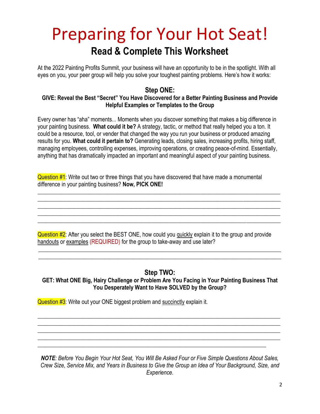# Preparing for Your Hot Seat! **Read & Complete This Worksheet**

At the 2022 Painting Profits Summit, your business will have an opportunity to be in the spotlight. With all eyes on you, your peer group will help you solve your toughest painting problems. Here's how it works:

### **Step ONE:**

### **GIVE: Reveal the Best "Secret" You Have Discovered for a Better Painting Business and Provide Helpful Examples or Templates to the Group**

Every owner has "aha" moments... Moments when you discover something that makes a big difference in your painting business. **What could it be?** A strategy, tactic, or method that really helped you a ton. It could be a resource, tool, or vender that changed the way you run your business or produced amazing results for you. **What could it pertain to?** Generating leads, closing sales, increasing profits, hiring staff, managing employees, controlling expenses, improving operations, or creating peace-of-mind. Essentially, anything that has dramatically impacted an important and meaningful aspect of your painting business.

**Question**  $#1$ **:** Write out two or three things that you have discovered that have made a monumental difference in your painting business? **Now, PICK ONE!**

 $\_$  , and the set of the set of the set of the set of the set of the set of the set of the set of the set of the set of the set of the set of the set of the set of the set of the set of the set of the set of the set of th \_\_\_\_\_\_\_\_\_\_\_\_\_\_\_\_\_\_\_\_\_\_\_\_\_\_\_\_\_\_\_\_\_\_\_\_\_\_\_\_\_\_\_\_\_\_\_\_\_\_\_\_\_\_\_\_\_\_\_\_\_\_\_\_\_\_\_\_\_\_\_\_\_\_\_\_\_\_\_\_\_\_\_\_\_ \_\_\_\_\_\_\_\_\_\_\_\_\_\_\_\_\_\_\_\_\_\_\_\_\_\_\_\_\_\_\_\_\_\_\_\_\_\_\_\_\_\_\_\_\_\_\_\_\_\_\_\_\_\_\_\_\_\_\_\_\_\_\_\_\_\_\_\_\_\_\_\_\_\_\_\_\_\_\_\_\_\_\_\_\_  $\_$  , and the set of the set of the set of the set of the set of the set of the set of the set of the set of the set of the set of the set of the set of the set of the set of the set of the set of the set of the set of th  $\_$  , and the set of the set of the set of the set of the set of the set of the set of the set of the set of the set of the set of the set of the set of the set of the set of the set of the set of the set of the set of th

Question #2: After you select the BEST ONE, how could you quickly explain it to the group and provide handouts or examples (REQUIRED) for the group to take-away and use later?

### **Step TWO:**

\_\_\_\_\_\_\_\_\_\_\_\_\_\_\_\_\_\_\_\_\_\_\_\_\_\_\_\_\_\_\_\_\_\_\_\_\_\_\_\_\_\_\_\_\_\_\_\_\_\_\_\_\_\_\_\_\_\_\_\_\_\_\_\_\_\_\_\_\_\_\_\_\_\_\_\_\_\_\_\_\_\_\_\_\_ \_\_\_\_\_\_\_\_\_\_\_\_\_\_\_\_\_\_\_\_\_\_\_\_\_\_\_\_\_\_\_\_\_\_\_\_\_\_\_\_\_\_\_\_\_\_\_\_\_\_\_\_\_\_\_\_\_\_\_\_\_\_\_\_\_\_\_\_\_\_\_\_\_\_\_\_\_\_\_\_\_\_\_\_\_

### **GET: What ONE Big, Hairy Challenge or Problem Are You Facing in Your Painting Business That You Desperately Want to Have SOLVED by the Group?**

 $\_$  , and the set of the set of the set of the set of the set of the set of the set of the set of the set of the set of the set of the set of the set of the set of the set of the set of the set of the set of the set of th  $\_$  , and the set of the set of the set of the set of the set of the set of the set of the set of the set of the set of the set of the set of the set of the set of the set of the set of the set of the set of the set of th  $\_$  , and the set of the set of the set of the set of the set of the set of the set of the set of the set of the set of the set of the set of the set of the set of the set of the set of the set of the set of the set of th \_\_\_\_\_\_\_\_\_\_\_\_\_\_\_\_\_\_\_\_\_\_\_\_\_\_\_\_\_\_\_\_\_\_\_\_\_\_\_\_\_\_\_\_\_\_\_\_\_\_\_\_\_\_\_\_\_\_\_\_\_\_\_\_\_\_\_\_\_\_\_\_\_\_\_\_\_\_\_\_\_\_\_\_\_

Question #3: Write out your ONE biggest problem and succinctly explain it.

*NOTE: Before You Begin Your Hot Seat, You Will Be Asked Four or Five Simple Questions About Sales, Crew Size, Service Mix, and Years in Business to Give the Group an Idea of Your Background, Size, and Experience.*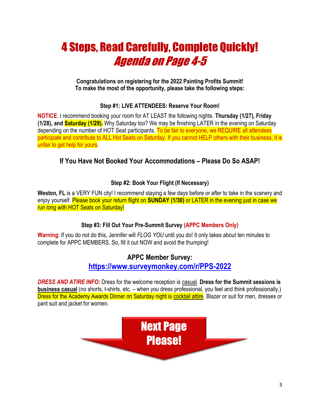# 4 Steps, Read Carefully, Complete Quickly! Agenda on Page 4-5

**Congratulations on registering for the 2022 Painting Profits Summit! To make the most of the opportunity, please take the following steps:**

### **Step #1: LIVE ATTENDEES: Reserve Your Room!**

**NOTICE**: I recommend booking your room for AT LEAST the following nights. **Thursday (1/27), Friday (1/28), and Saturday (1/29).** Why Saturday too? We may be finishing LATER in the evening on Saturday depending on the number of HOT Seat participants. To be fair to everyone, we REQUIRE all attendees participate and contribute to ALL Hot Seats on Saturday. If you cannot HELP others with their business, it is unfair to get help for yours.

### **If You Have Not Booked Your Accommodations – Please Do So ASAP!**

### **Step #2: Book Your Flight (If Necessary)**

Weston, FL is a VERY FUN city! I recommend staying a few days before or after to take in the scenery and enjoy yourself. Please book your return flight on **SUNDAY (1/30)** or LATER in the evening just in case we run long with HOT Seats on Saturday!

### **Step #3: Fill Out Your Pre-Summit Survey (APPC Members Only)**

**Warning**: If you do not do this, Jennifer will *FLOG YOU* until you do! It only takes about ten minutes to complete for APPC MEMBERS. So, fill it out NOW and avoid the thumping!

### **APPC Member Survey:**

### **<https://www.surveymonkey.com/r/PPS-2022>**

*DRESS AND ATIRE INFO:* Dress for the welcome reception is casual. **Dress for the Summit sessions is business casual** (no shorts, t-shirts, etc. – when you dress professional, you feel and think professionally.) Dress for the Academy Awards Dinner on Saturday night is cocktail attire. Blazer or suit for men, dresses or pant suit and jacket for women.

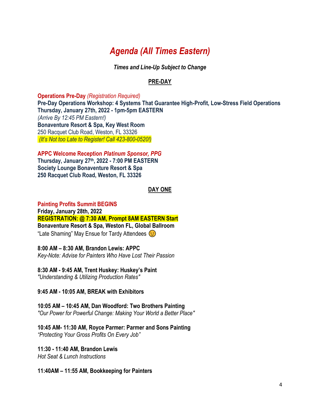### *Agenda (All Times Eastern)*

*Times and Line-Up Subject to Change*

### **PRE-DAY**

**Operations Pre-Day** *(Registration Required)*

**Pre-Day Operations Workshop: 4 Systems That Guarantee High-Profit, Low-Stress Field Operations Thursday, January 27th, 2022 - 1pm-5pm EASTERN**  *(Arrive By 12:45 PM Eastern!)* **Bonaventure Resort & Spa, Key West Room** 250 Racquet Club Road, Weston, FL 33326 *(It's Not too Late to Register! Call 423-800-0520!)*

**APPC Welcome Reception** *Platinum Sponsor, PPG* **Thursday, January 27 th, 2022 - 7:00 PM EASTERN Society Lounge Bonaventure Resort & Spa 250 Racquet Club Road, Weston, FL 33326**

### **DAY ONE**

**Painting Profits Summit BEGINS Friday, January 28th, 2022 REGISTRATION: @ 7:30 AM, Prompt 8AM EASTERN Start Bonaventure Resort & Spa, Weston FL, Global Ballroom ED** "Late Shaming" May Ensue for Tardy Attendees

**8:00 AM – 8:30 AM, Brandon Lewis: APPC** *Key-Note: Advise for Painters Who Have Lost Their Passion*

**8:30 AM - 9:45 AM, Trent Huskey: Huskey's Paint** *"Understanding & Utilizing Production Rates"*

**9:45 AM - 10:05 AM, BREAK with Exhibitors**

**10:05 AM – 10:45 AM, Dan Woodford: Two Brothers Painting** *"Our Power for Powerful Change: Making Your World a Better Place"*

**10:45 AM- 11:30 AM, Royce Parmer: Parmer and Sons Painting** *"Protecting Your Gross Profits On Every Job"*

**11:30 - 11:40 AM, Brandon Lewis** *Hot Seat & Lunch Instructions* 

**11:40AM – 11:55 AM, Bookkeeping for Painters**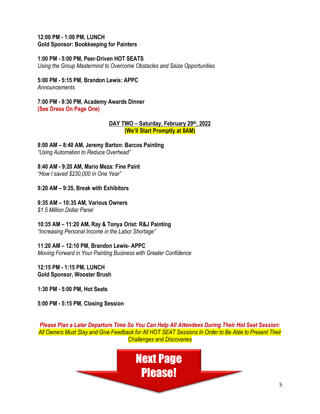#### **12:00 PM - 1:00 PM, LUNCH Gold Sponsor: Bookkeeping for Painters**

### **1:00 PM - 5:00 PM, Peer-Driven HOT SEATS**

*Using the Group Mastermind to Overcome Obstacles and Seize Opportunities*

**5:00 PM - 5:15 PM, Brandon Lewis: APPC** *Announcements*

**7:00 PM - 9:30 PM, Academy Awards Dinner (See Dress On Page One)**

#### **DAY TWO – Saturday, February 29th, 2022 (We'll Start Promptly at 8AM)**

**8:00 AM – 8:40 AM, Jeremy Barton: Barcos Painting** *"Using Automation to Reduce Overhead"*

**8:40 AM - 9:20 AM, Mario Meza: Fine Paint**

*"How I saved \$230,000 in One Year"*

**9:20 AM – 9:35, Break with Exhibitors**

**9:35 AM – 10:35 AM, Various Owners** *\$1.5 Million Dollar Panel*

### **10:35 AM – 11:20 AM, Ray & Tonya Orist: R&J Painting**

*"Increasing Personal Income in the Labor Shortage"*

**11:20 AM – 12:10 PM, Brandon Lewis- APPC**

*Moving Forward in Your Painting Business with Greater Confidence*

**12:15 PM - 1:15 PM, LUNCH Gold Sponsor, Wooster Brush**

**1:30 PM - 5:00 PM, Hot Seats**

**5:00 PM - 5:15 PM, Closing Session**

*Please Plan a Later Departure Time So You Can Help All Attendees During Their Hot Seat Session: All Owners Must Stay and Give Feedback for All HOT SEAT Sessions In Order to Be Able to Present Their Challenges and Discoveries*